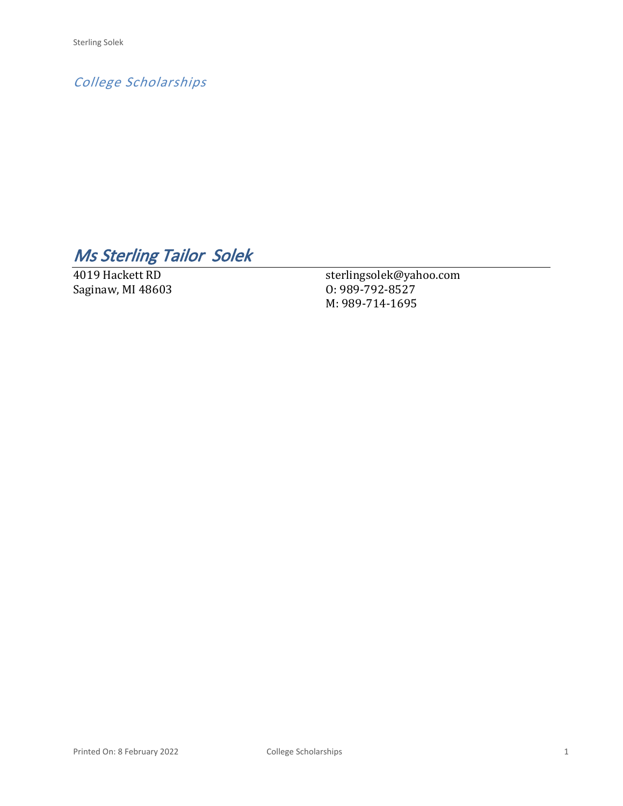*College Scholarships*

# *Ms Sterling Tailor Solek*

4019 Hackett RD Saginaw, MI 48603

sterlingsolek@yahoo.com O: 989-792-8527 M: 989-714-1695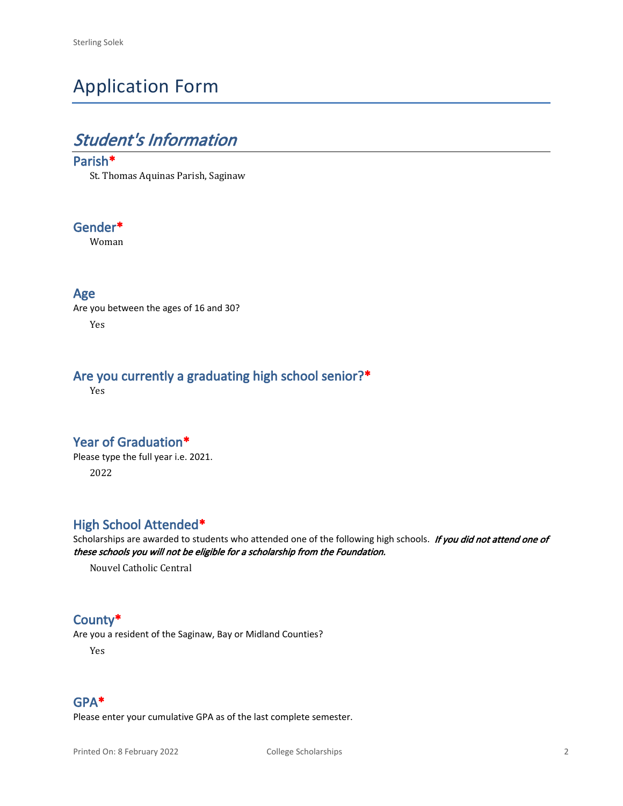## Application Form

## *Student's Information*

#### **Parish\***

St. Thomas Aquinas Parish, Saginaw

#### **Gender\***

Woman

#### **Age**

Are you between the ages of 16 and 30? Yes

#### **Are you currently a graduating high school senior?\***

Yes

#### **Year of Graduation\***

Please type the full year i.e. 2021. 2022

#### **High School Attended\***

Scholarships are awarded to students who attended one of the following high schools. *If you did not attend one of these schools you will not be eligible for a scholarship from the Foundation.*

Nouvel Catholic Central

#### **County\***

Are you a resident of the Saginaw, Bay or Midland Counties?

Yes

#### **GPA\***

Please enter your cumulative GPA as of the last complete semester.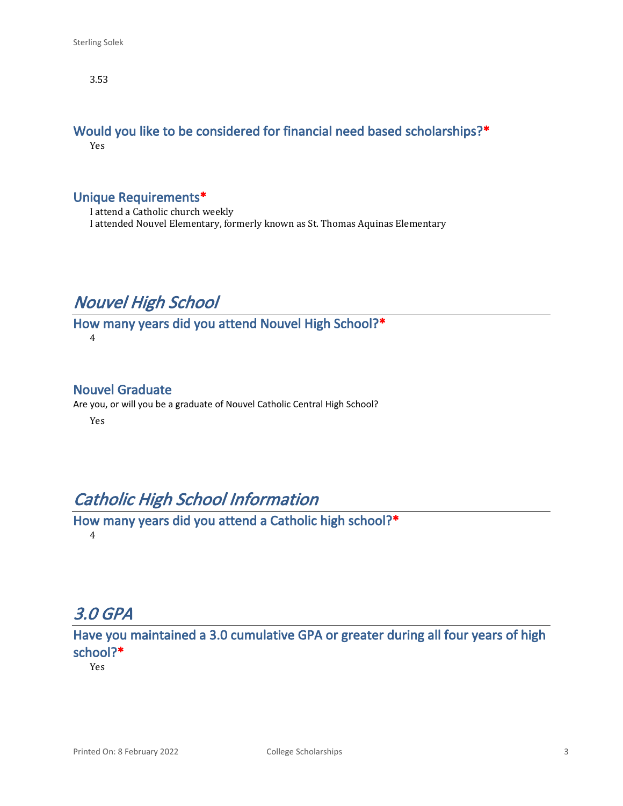3.53

#### **Would you like to be considered for financial need based scholarships?\*** Yes

#### **Unique Requirements\***

I attend a Catholic church weekly I attended Nouvel Elementary, formerly known as St. Thomas Aquinas Elementary

### *Nouvel High School*

**How many years did you attend Nouvel High School?\*** 4

#### **Nouvel Graduate**

Are you, or will you be a graduate of Nouvel Catholic Central High School?

Yes

### *Catholic High School Information*

**How many years did you attend a Catholic high school?\*** 4

## *3.0 GPA*

**Have you maintained a 3.0 cumulative GPA or greater during all four years of high school?\***

Yes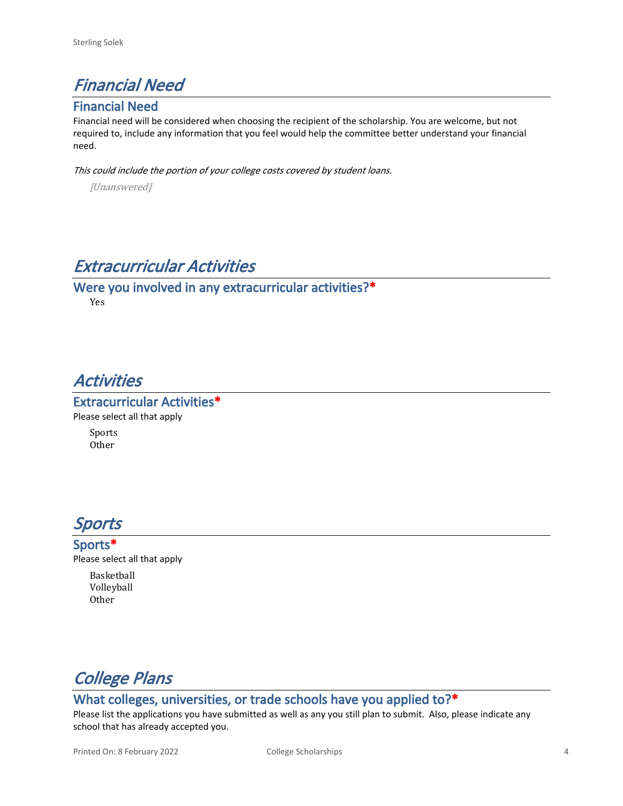## *Financial Need*

#### **Financial Need**

Financial need will be considered when choosing the recipient of the scholarship. You are welcome, but not required to, include any information that you feel would help the committee better understand your financial need.

*This could include the portion of your college costs covered by student loans.* 

*[Unanswered]*

### *Extracurricular Activities*

**Were you involved in any extracurricular activities?\*** Yes

### *Activities*

**Extracurricular Activities\*** Please select all that apply

Sports Other



#### **Sports\*** Please select all that apply

Basketball Volleyball Other



### **What colleges, universities, or trade schools have you applied to?\***

Please list the applications you have submitted as well as any you still plan to submit. Also, please indicate any school that has already accepted you.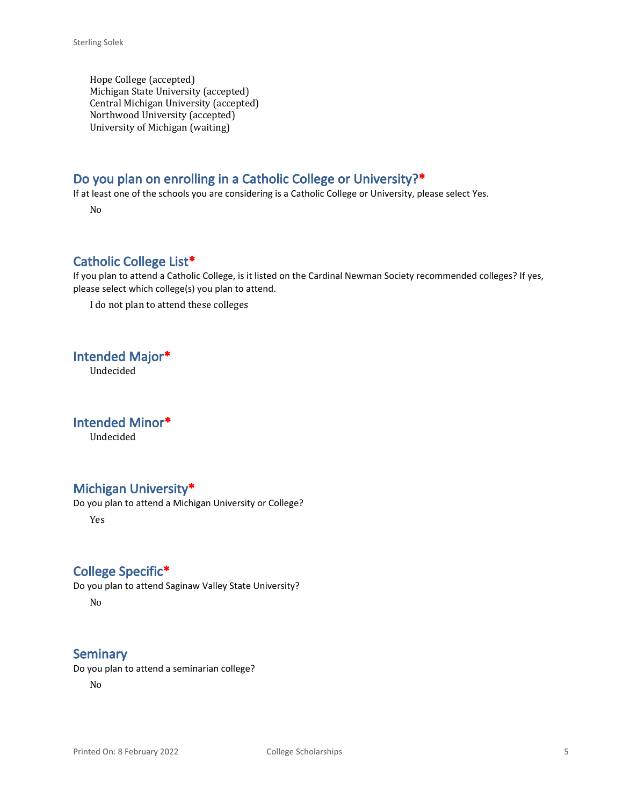Hope College (accepted) Michigan State University (accepted) Central Michigan University (accepted) Northwood University (accepted) University of Michigan (waiting)

#### **Do you plan on enrolling in a Catholic College or University?\***

If at least one of the schools you are considering is a Catholic College or University, please select Yes.

No

#### **Catholic College List\***

If you plan to attend a Catholic College, is it listed on the Cardinal Newman Society recommended colleges? If yes, please select which college(s) you plan to attend.

I do not plan to attend these colleges

**Intended Major\***

Undecided

**Intended Minor\*** Undecided

#### **Michigan University\***

Do you plan to attend a Michigan University or College?

Yes

#### **College Specific\***

Do you plan to attend Saginaw Valley State University?

No

#### **Seminary**

Do you plan to attend a seminarian college?

No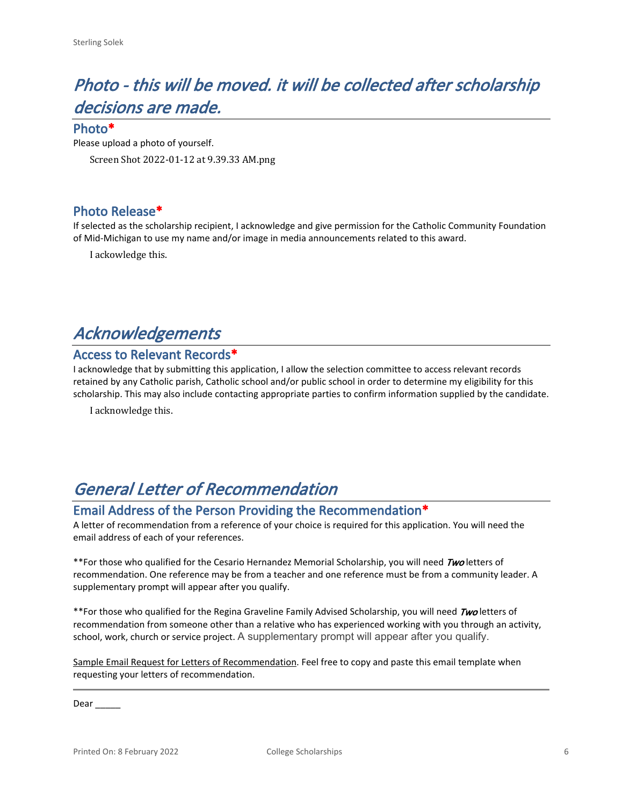# *Photo - this will be moved. it will be collected after scholarship decisions are made.*

**Photo\***

Please upload a photo of yourself.

Screen Shot 2022-01-12 at 9.39.33 AM.png

#### **Photo Release\***

If selected as the scholarship recipient, I acknowledge and give permission for the Catholic Community Foundation of Mid-Michigan to use my name and/or image in media announcements related to this award.

I ackowledge this.

## *Acknowledgements*

#### **Access to Relevant Records\***

I acknowledge that by submitting this application, I allow the selection committee to access relevant records retained by any Catholic parish, Catholic school and/or public school in order to determine my eligibility for this scholarship. This may also include contacting appropriate parties to confirm information supplied by the candidate.

I acknowledge this.

## *General Letter of Recommendation*

#### **Email Address of the Person Providing the Recommendation\***

A letter of recommendation from a reference of your choice is required for this application. You will need the email address of each of your references.

\*\*For those who qualified for the Cesario Hernandez Memorial Scholarship, you will need *Two* letters of recommendation. One reference may be from a teacher and one reference must be from a community leader. A supplementary prompt will appear after you qualify.

\*\*For those who qualified for the Regina Graveline Family Advised Scholarship, you will need *Two* letters of recommendation from someone other than a relative who has experienced working with you through an activity, school, work, church or service project. A supplementary prompt will appear after you qualify.

Sample Email Request for Letters of Recommendation. Feel free to copy and paste this email template when requesting your letters of recommendation.

Dear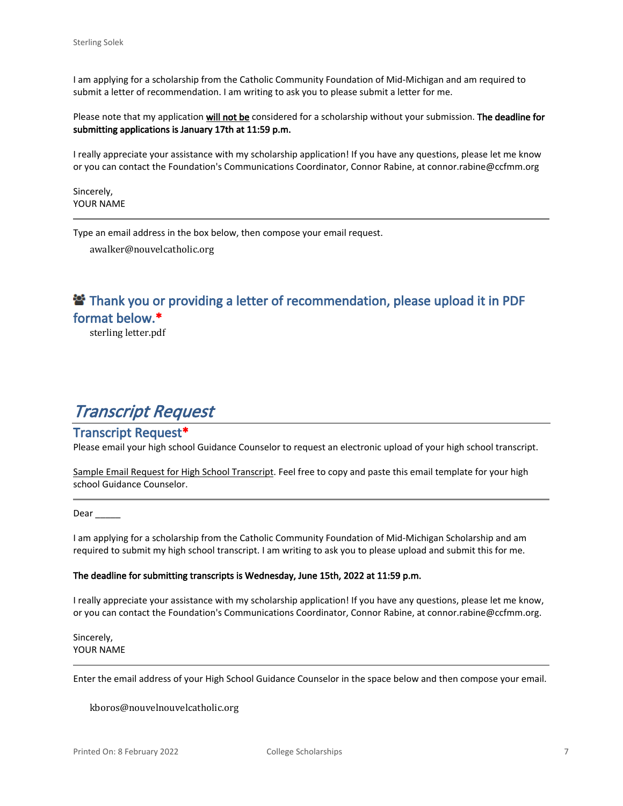I am applying for a scholarship from the Catholic Community Foundation of Mid-Michigan and am required to submit a letter of recommendation. I am writing to ask you to please submit a letter for me.

Please note that my application **will not be** considered for a scholarship without your submission. **The deadline for submitting applications is January 17th at 11:59 p.m.**

I really appreciate your assistance with my scholarship application! If you have any questions, please let me know or you can contact the Foundation's Communications Coordinator, Connor Rabine, at connor.rabine@ccfmm.org

Sincerely, YOUR NAME

Type an email address in the box below, then compose your email request.

awalker@nouvelcatholic.org

### **<sup>2</sup> Thank you or providing a letter of recommendation, please upload it in PDF format below.\***

sterling letter.pdf

## *Transcript Request*

#### **Transcript Request\***

Please email your high school Guidance Counselor to request an electronic upload of your high school transcript.

Sample Email Request for High School Transcript. Feel free to copy and paste this email template for your high school Guidance Counselor.

Dear

I am applying for a scholarship from the Catholic Community Foundation of Mid-Michigan Scholarship and am required to submit my high school transcript. I am writing to ask you to please upload and submit this for me.

#### **The deadline for submitting transcripts is Wednesday, June 15th, 2022 at 11:59 p.m.**

I really appreciate your assistance with my scholarship application! If you have any questions, please let me know, or you can contact the Foundation's Communications Coordinator, Connor Rabine, at connor.rabine@ccfmm.org.

Sincerely, YOUR NAME

Enter the email address of your High School Guidance Counselor in the space below and then compose your email.

kboros@nouvelnouvelcatholic.org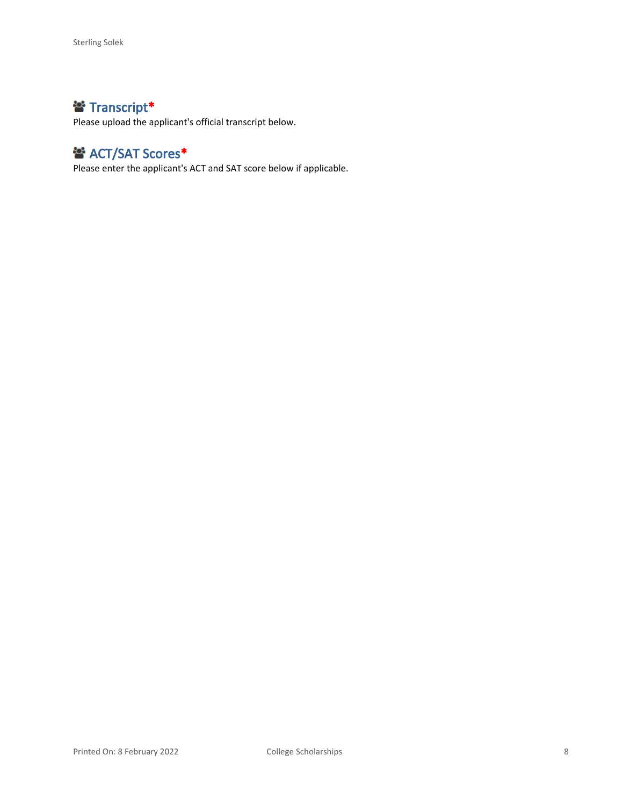### **Transcript\***

Please upload the applicant's official transcript below.

## **<sup>2</sup>** ACT/SAT Scores<sup>\*</sup>

Please enter the applicant's ACT and SAT score below if applicable.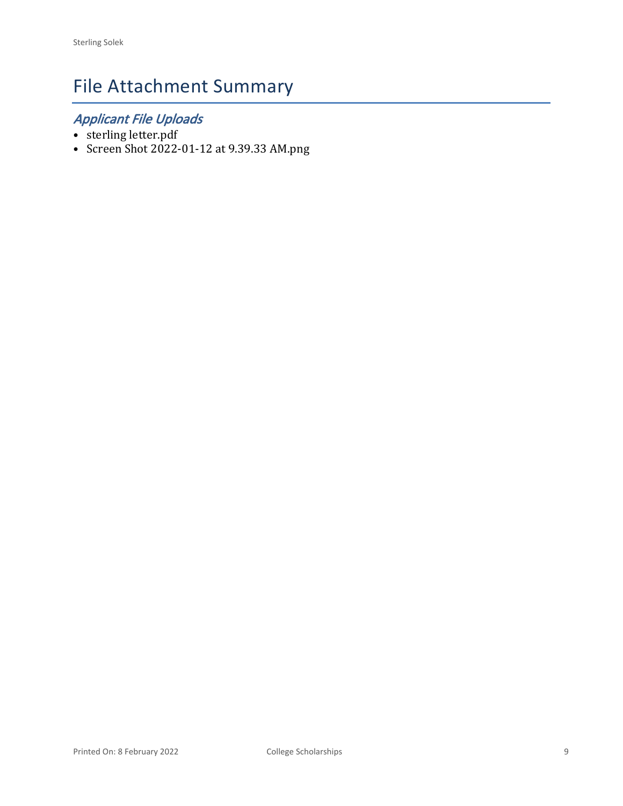# File Attachment Summary

### *Applicant File Uploads*

- sterling letter.pdf
- Screen Shot 2022-01-12 at 9.39.33 AM.png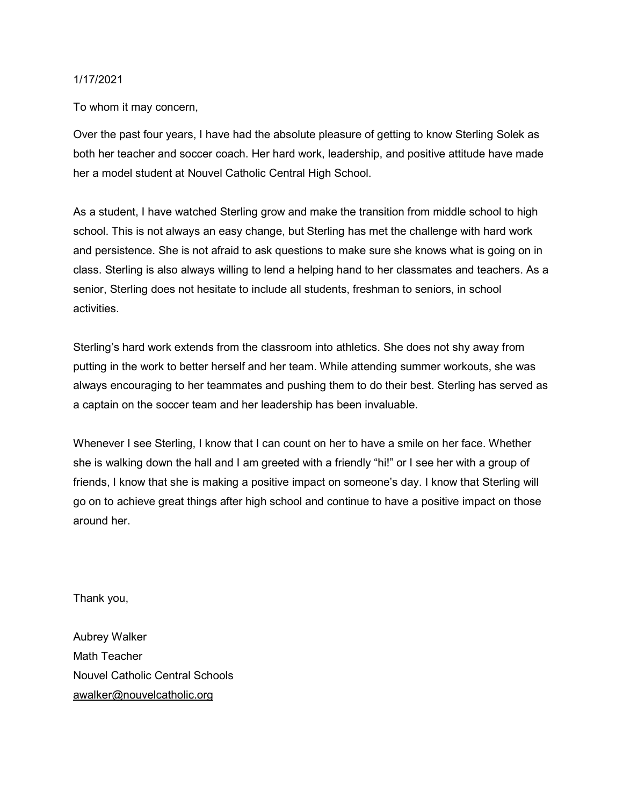#### 1/17/2021

To whom it may concern,

Over the past four years, I have had the absolute pleasure of getting to know Sterling Solek as both her teacher and soccer coach. Her hard work, leadership, and positive attitude have made her a model student at Nouvel Catholic Central High School.

As a student, I have watched Sterling grow and make the transition from middle school to high school. This is not always an easy change, but Sterling has met the challenge with hard work and persistence. She is not afraid to ask questions to make sure she knows what is going on in class. Sterling is also always willing to lend a helping hand to her classmates and teachers. As a senior, Sterling does not hesitate to include all students, freshman to seniors, in school activities.

Sterling's hard work extends from the classroom into athletics. She does not shy away from putting in the work to better herself and her team. While attending summer workouts, she was always encouraging to her teammates and pushing them to do their best. Sterling has served as a captain on the soccer team and her leadership has been invaluable.

Whenever I see Sterling, I know that I can count on her to have a smile on her face. Whether she is walking down the hall and I am greeted with a friendly "hi!" or I see her with a group of friends, I know that she is making a positive impact on someone's day. I know that Sterling will go on to achieve great things after high school and continue to have a positive impact on those around her.

Thank you,

Aubrey Walker Math Teacher Nouvel Catholic Central Schools awalker@nouvelcatholic.org